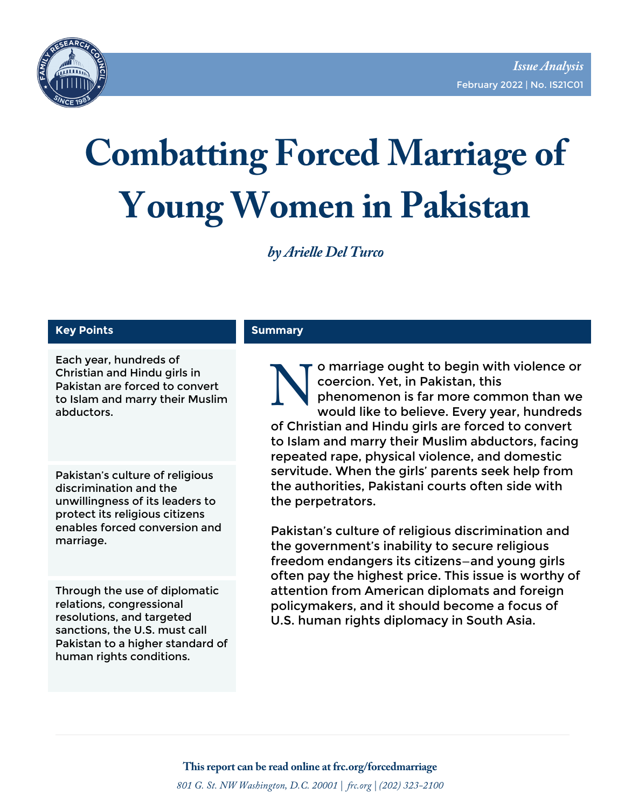

# **Combatting Forced Marriage of Young Women in Pakistan**

*by Arielle Del Turco* 

#### **Key Points**

Each year, hundreds of<br>Christian and Hindu girls in<br>Pakistan are forced to convert<br>to Islam and marry their Muslim<br>abductors. Christian and Hindu girls in Pakistan are forced to convert to Islam and marry their Muslim abductors.

Pakistan's culture of religious discrimination and the unwillingness of its leaders to protect its religious citizens enables forced conversion and marriage.

Through the use of diplomatic relations, congressional resolutions, and targeted sanctions, the U.S. must call Pakistan to a higher standard of human rights conditions.

#### **Summary**

o marriage ought to begin with violence or coercion. Yet, in Pakistan, this phenomenon is far more common than we would like to believe. Every year, hundreds of Christian and Hindu girls are forced to convert to Islam and marry their Muslim abductors, facing repeated rape, physical violence, and domestic servitude. When the girls' parents seek help from the authorities, Pakistani courts often side with the perpetrators.

Pakistan's culture of religious discrimination and the government's inability to secure religious freedom endangers its citizens—and young girls often pay the highest price. This issue is worthy of attention from American diplomats and foreign policymakers, and it should become a focus of U.S. human rights diplomacy in South Asia.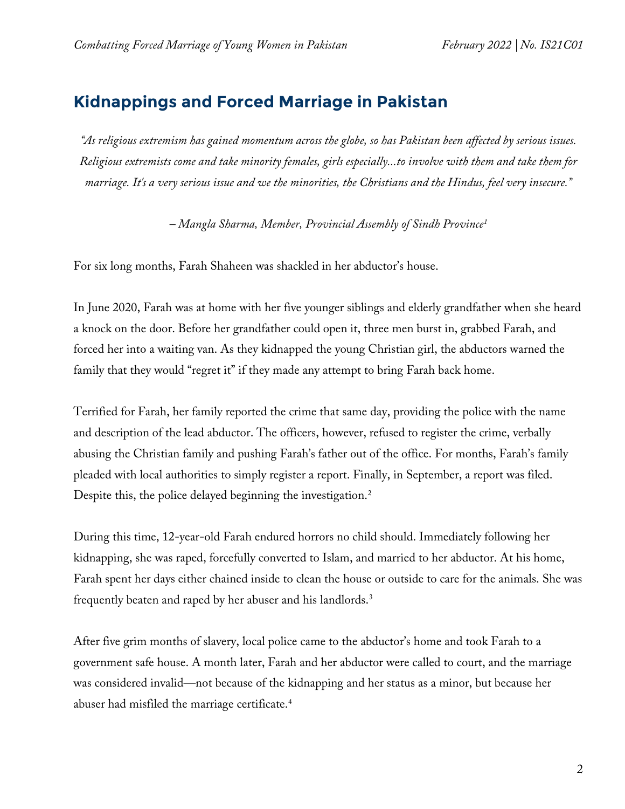#### **Kidnappings and Forced Marriage in Pakistan**

*"As religious extremism has gained momentum across the globe, so has Pakistan been affected by serious issues. Religious extremists come and take minority females, girls especially...to involve with them and take them for marriage. It's a very serious issue and we the minorities, the Christians and the Hindus, feel very insecure."*

*– Mangla Sharma, Member, Provincial Assembly of Sindh Province[1](#page-12-0)*

For six long months, Farah Shaheen was shackled in her abductor's house.

In June 2020, Farah was at home with her five younger siblings and elderly grandfather when she heard a knock on the door. Before her grandfather could open it, three men burst in, grabbed Farah, and forced her into a waiting van. As they kidnapped the young Christian girl, the abductors warned the family that they would "regret it" if they made any attempt to bring Farah back home.

Terrified for Farah, her family reported the crime that same day, providing the police with the name and description of the lead abductor. The officers, however, refused to register the crime, verbally abusing the Christian family and pushing Farah's father out of the office. For months, Farah's family pleaded with local authorities to simply register a report. Finally, in September, a report was filed. Despite this, the police delayed beginning the investigation. [2](#page-12-1)

During this time, 12-year-old Farah endured horrors no child should. Immediately following her kidnapping, she was raped, forcefully converted to Islam, and married to her abductor. At his home, Farah spent her days either chained inside to clean the house or outside to care for the animals. She was frequently beaten and raped by her abuser and his landlords. $3$ 

After five grim months of slavery, local police came to the abductor's home and took Farah to a government safe house. A month later, Farah and her abductor were called to court, and the marriage was considered invalid—not because of the kidnapping and her status as a minor, but because her abuser had misfiled the marriage certificate. $^4$  $^4$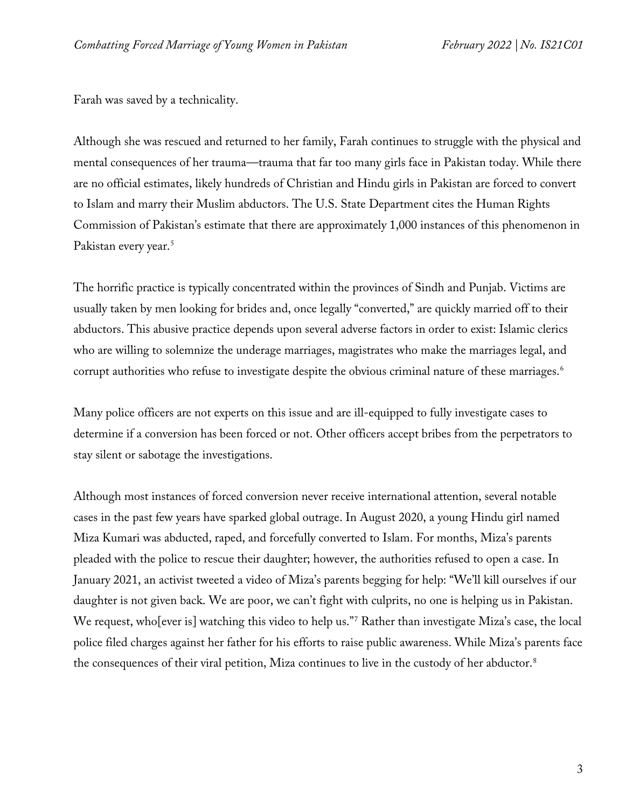Farah was saved by a technicality.

Although she was rescued and returned to her family, Farah continues to struggle with the physical and mental consequences of her trauma—trauma that far too many girls face in Pakistan today. While there are no official estimates, likely hundreds of Christian and Hindu girls in Pakistan are forced to convert to Islam and marry their Muslim abductors. The U.S. State Department cites the Human Rights Commission of Pakistan's estimate that there are approximately 1,000 instances of this phenomenon in Pakistan every year.<sup>[5](#page-13-2)</sup>

The horrific practice is typically concentrated within the provinces of Sindh and Punjab. Victims are usually taken by men looking for brides and, once legally "converted," are quickly married off to their abductors. This abusive practice depends upon several adverse factors in order to exist: Islamic clerics who are willing to solemnize the underage marriages, magistrates who make the marriages legal, and corrupt authorities who refuse to investigate despite the obvious criminal nature of these marriages. [6](#page-13-3)

Many police officers are not experts on this issue and are ill-equipped to fully investigate cases to determine if a conversion has been forced or not. Other officers accept bribes from the perpetrators to stay silent or sabotage the investigations.

Although most instances of forced conversion never receive international attention, several notable cases in the past few years have sparked global outrage. In August 2020, a young Hindu girl named Miza Kumari was abducted, raped, and forcefully converted to Islam. For months, Miza's parents pleaded with the police to rescue their daughter; however, the authorities refused to open a case. In January 2021, an activist tweeted a video of Miza's parents begging for help: "We'll kill ourselves if our daughter is not given back. We are poor, we can't fight with culprits, no one is helping us in Pakistan. We request, who[ever is] watching this video to help us."[7](#page-13-4) Rather than investigate Miza's case, the local police filed charges against her father for his efforts to raise public awareness. While Miza's parents face the consequences of their viral petition, Miza continues to live in the custody of her abductor.<sup>[8](#page-13-5)</sup>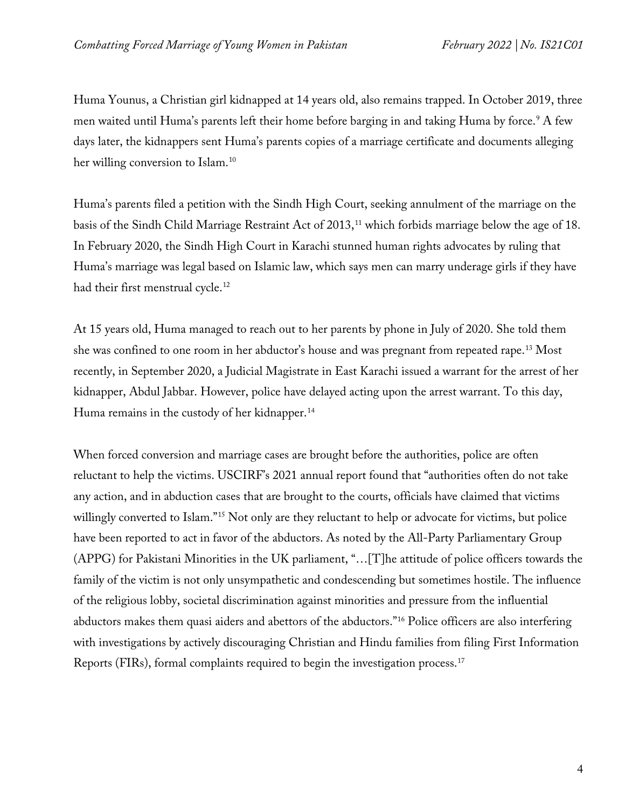Huma Younus, a Christian girl kidnapped at 14 years old, also remains trapped. In October 2019, three men waited until Huma's parents left their home before barging in and taking Huma by force[.9](#page-13-6) A few days later, the kidnappers sent Huma's parents copies of a marriage certificate and documents alleging her willing conversion to Islam.<sup>[10](#page-13-7)</sup>

Huma's parents filed a petition with the Sindh High Court, seeking annulment of the marriage on the basis of the Sindh Child Marriage Restraint Act of 2013, [11](#page-13-8) which forbids marriage below the age of 18. In February 2020, the Sindh High Court in Karachi stunned human rights advocates by ruling that Huma's marriage was legal based on Islamic law, which says men can marry underage girls if they have had their first menstrual cycle.<sup>[12](#page-13-9)</sup>

At 15 years old, Huma managed to reach out to her parents by phone in July of 2020. She told them she was confined to one room in her abductor's house and was pregnant from repeated rape.[13](#page-13-10) Most recently, in September 2020, a Judicial Magistrate in East Karachi issued a warrant for the arrest of her kidnapper, Abdul Jabbar. However, police have delayed acting upon the arrest warrant. To this day, Huma remains in the custody of her kidnapper.<sup>[14](#page-13-11)</sup>

When forced conversion and marriage cases are brought before the authorities, police are often reluctant to help the victims. USCIRF's 2021 annual report found that "authorities often do not take any action, and in abduction cases that are brought to the courts, officials have claimed that victims willingly converted to Islam."<sup>[15](#page-13-12)</sup> Not only are they reluctant to help or advocate for victims, but police have been reported to act in favor of the abductors. As noted by the All-Party Parliamentary Group (APPG) for Pakistani Minorities in the UK parliament, "…[T]he attitude of police officers towards the family of the victim is not only unsympathetic and condescending but sometimes hostile. The influence of the religious lobby, societal discrimination against minorities and pressure from the influential abductors makes them quasi aiders and abettors of the abductors."[16](#page-13-13) Police officers are also interfering with investigations by actively discouraging Christian and Hindu families from filing First Information Reports (FIRs), formal complaints required to begin the investigation process[.17](#page-13-14)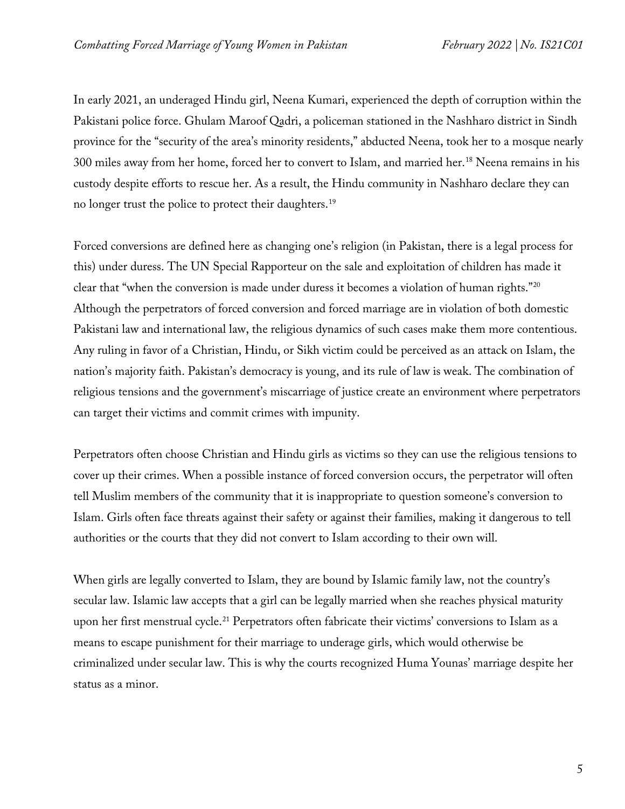In early 2021, an underaged Hindu girl, Neena Kumari, experienced the depth of corruption within the Pakistani police force. Ghulam Maroof Qadri, a policeman stationed in the Nashharo district in Sindh province for the "security of the area's minority residents," abducted Neena, took her to a mosque nearly 300 miles away from her home, forced her to convert to Islam, and married her.[18](#page-13-15) Neena remains in his custody despite efforts to rescue her. As a result, the Hindu community in Nashharo declare they can no longer trust the police to protect their daughters. [19](#page-14-0)

Forced conversions are defined here as changing one's religion (in Pakistan, there is a legal process for this) under duress. The UN Special Rapporteur on the sale and exploitation of children has made it clear that "when the conversion is made under duress it becomes a violation of human rights.["20](#page-14-1) Although the perpetrators of forced conversion and forced marriage are in violation of both domestic Pakistani law and international law, the religious dynamics of such cases make them more contentious. Any ruling in favor of a Christian, Hindu, or Sikh victim could be perceived as an attack on Islam, the nation's majority faith. Pakistan's democracy is young, and its rule of law is weak. The combination of religious tensions and the government's miscarriage of justice create an environment where perpetrators can target their victims and commit crimes with impunity.

Perpetrators often choose Christian and Hindu girls as victims so they can use the religious tensions to cover up their crimes. When a possible instance of forced conversion occurs, the perpetrator will often tell Muslim members of the community that it is inappropriate to question someone's conversion to Islam. Girls often face threats against their safety or against their families, making it dangerous to tell authorities or the courts that they did not convert to Islam according to their own will.

When girls are legally converted to Islam, they are bound by Islamic family law, not the country's secular law. Islamic law accepts that a girl can be legally married when she reaches physical maturity upon her first menstrual cycle.<sup>[21](#page-14-2)</sup> Perpetrators often fabricate their victims' conversions to Islam as a means to escape punishment for their marriage to underage girls, which would otherwise be criminalized under secular law. This is why the courts recognized Huma Younas' marriage despite her status as a minor.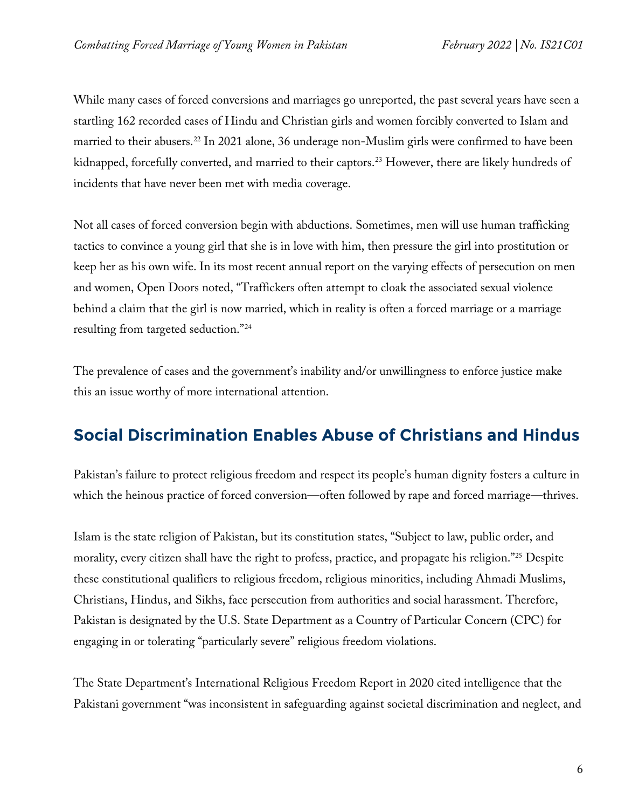While many cases of forced conversions and marriages go unreported, the past several years have seen a startling 162 recorded cases of Hindu and Christian girls and women forcibly converted to Islam and married to their abusers. [22](#page-14-3) In 2021 alone, 36 underage non-Muslim girls were confirmed to have been kidnapped, forcefully converted, and married to their captors. [23](#page-14-4) However, there are likely hundreds of incidents that have never been met with media coverage.

Not all cases of forced conversion begin with abductions. Sometimes, men will use human trafficking tactics to convince a young girl that she is in love with him, then pressure the girl into prostitution or keep her as his own wife. In its most recent annual report on the varying effects of persecution on men and women, Open Doors noted, "Traffickers often attempt to cloak the associated sexual violence behind a claim that the girl is now married, which in reality is often a forced marriage or a marriage resulting from targeted seduction."[24](#page-14-5)

The prevalence of cases and the government's inability and/or unwillingness to enforce justice make this an issue worthy of more international attention.

## **Social Discrimination Enables Abuse of Christians and Hindus**

Pakistan's failure to protect religious freedom and respect its people's human dignity fosters a culture in which the heinous practice of forced conversion—often followed by rape and forced marriage—thrives.

Islam is the state religion of Pakistan, but its constitution states, "Subject to law, public order, and morality, every citizen shall have the right to profess, practice, and propagate his religion."[25](#page-14-6) Despite these constitutional qualifiers to religious freedom, religious minorities, including Ahmadi Muslims, Christians, Hindus, and Sikhs, face persecution from authorities and social harassment. Therefore, Pakistan is designated by the U.S. State Department as a Country of Particular Concern (CPC) for engaging in or tolerating "particularly severe" religious freedom violations.

The State Department's International Religious Freedom Report in 2020 cited intelligence that the Pakistani government "was inconsistent in safeguarding against societal discrimination and neglect, and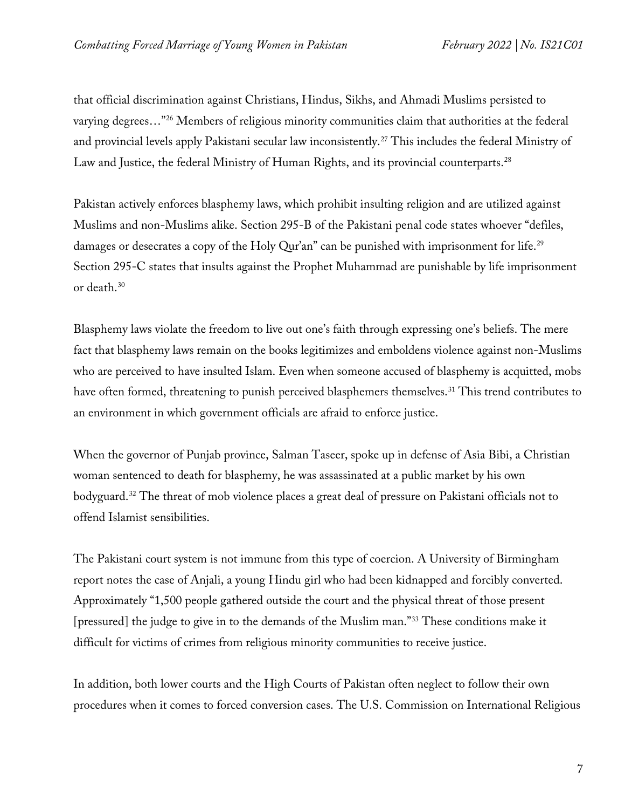that official discrimination against Christians, Hindus, Sikhs, and Ahmadi Muslims persisted to varying degrees…"[26](#page-14-7) Members of religious minority communities claim that authorities at the federal and provincial levels apply Pakistani secular law inconsistently.[27](#page-14-8) This includes the federal Ministry of Law and Justice, the federal Ministry of Human Rights, and its provincial counterparts.<sup>[28](#page-14-9)</sup>

Pakistan actively enforces blasphemy laws, which prohibit insulting religion and are utilized against Muslims and non-Muslims alike. Section 295-B of the Pakistani penal code states whoever "defiles, damages or desecrates a copy of the Holy Qur'an" can be punished with imprisonment for life.<sup>[29](#page-14-10)</sup> Section 295-C states that insults against the Prophet Muhammad are punishable by life imprisonment or death[.30](#page-14-11)

Blasphemy laws violate the freedom to live out one's faith through expressing one's beliefs. The mere fact that blasphemy laws remain on the books legitimizes and emboldens violence against non-Muslims who are perceived to have insulted Islam. Even when someone accused of blasphemy is acquitted, mobs have often formed, threatening to punish perceived blasphemers themselves.<sup>[31](#page-14-12)</sup> This trend contributes to an environment in which government officials are afraid to enforce justice.

When the governor of Punjab province, Salman Taseer, spoke up in defense of Asia Bibi, a Christian woman sentenced to death for blasphemy, he was assassinated at a public market by his own bodyguard[.32](#page-14-13) The threat of mob violence places a great deal of pressure on Pakistani officials not to offend Islamist sensibilities.

The Pakistani court system is not immune from this type of coercion. A University of Birmingham report notes the case of Anjali, a young Hindu girl who had been kidnapped and forcibly converted. Approximately "1,500 people gathered outside the court and the physical threat of those present [pressured] the judge to give in to the demands of the Muslim man."[33](#page-14-14) These conditions make it difficult for victims of crimes from religious minority communities to receive justice.

In addition, both lower courts and the High Courts of Pakistan often neglect to follow their own procedures when it comes to forced conversion cases. The U.S. Commission on International Religious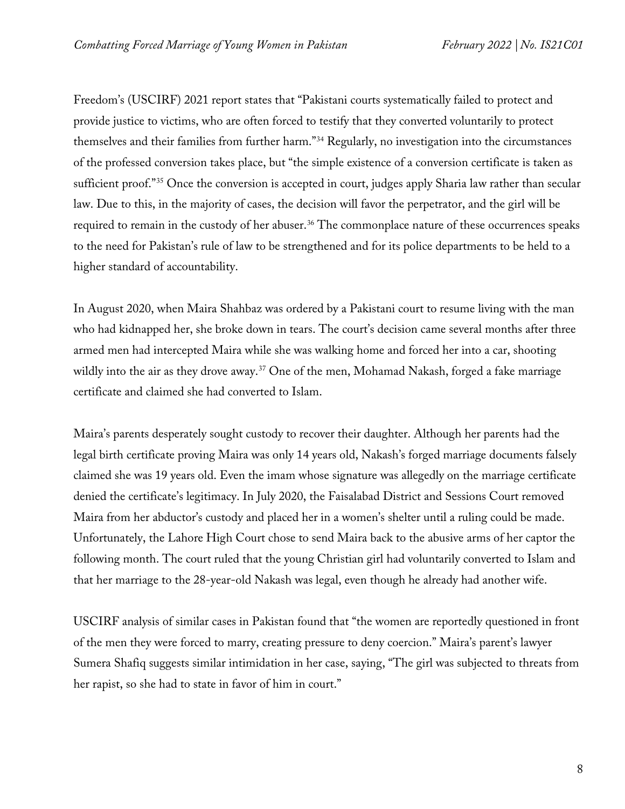Freedom's (USCIRF) 2021 report states that "Pakistani courts systematically failed to protect and provide justice to victims, who are often forced to testify that they converted voluntarily to protect themselves and their families from further harm."[34](#page-14-15) Regularly, no investigation into the circumstances of the professed conversion takes place, but "the simple existence of a conversion certificate is taken as sufficient proof."<sup>[35](#page-14-16)</sup> Once the conversion is accepted in court, judges apply Sharia law rather than secular law. Due to this, in the majority of cases, the decision will favor the perpetrator, and the girl will be required to remain in the custody of her abuser.<sup>[36](#page-14-17)</sup> The commonplace nature of these occurrences speaks to the need for Pakistan's rule of law to be strengthened and for its police departments to be held to a higher standard of accountability.

In August 2020, when Maira Shahbaz was ordered by a Pakistani court to resume living with the man who had kidnapped her, she broke down in tears. The court's decision came several months after three armed men had intercepted Maira while she was walking home and forced her into a car, shooting wildly into the air as they drove away.<sup>[37](#page-15-0)</sup> One of the men, Mohamad Nakash, forged a fake marriage certificate and claimed she had converted to Islam.

Maira's parents desperately sought custody to recover their daughter. Although her parents had the legal birth certificate proving Maira was only 14 years old, Nakash's forged marriage documents falsely claimed she was 19 years old. Even the imam whose signature was allegedly on the marriage certificate denied the certificate's legitimacy. In July 2020, the Faisalabad District and Sessions Court removed Maira from her abductor's custody and placed her in a women's shelter until a ruling could be made. Unfortunately, the Lahore High Court chose to send Maira back to the abusive arms of her captor the following month. The court ruled that the young Christian girl had voluntarily converted to Islam and that her marriage to the 28-year-old Nakash was legal, even though he already had another wife.

USCIRF analysis of similar cases in Pakistan found that "the women are reportedly questioned in front of the men they were forced to marry, creating pressure to deny coercion." Maira's parent's lawyer Sumera Shafiq suggests similar intimidation in her case, saying, "The girl was subjected to threats from her rapist, so she had to state in favor of him in court."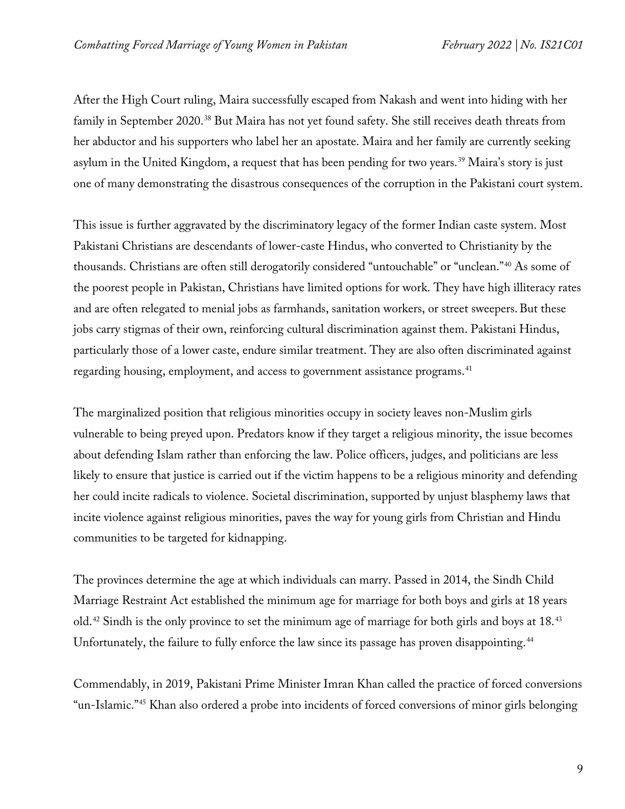After the High Court ruling, Maira successfully escaped from Nakash and went into hiding with her family in September 2020.[38](#page-15-1) But Maira has not yet found safety. She still receives death threats from her abductor and his supporters who label her an apostate. Maira and her family are currently seeking asylum in the United Kingdom, a request that has been pending for two years. [39](#page-15-2) Maira's story is just one of many demonstrating the disastrous consequences of the corruption in the Pakistani court system.

This issue is further aggravated by the discriminatory legacy of the former Indian caste system. Most Pakistani Christians are descendants of lower-caste Hindus, who converted to Christianity by the thousands. Christians are often still derogatorily considered "untouchable" or "unclean."[40](#page-15-3) As some of the poorest people in Pakistan, Christians have limited options for work. They have high illiteracy rates and are often relegated to menial jobs as farmhands, sanitation workers, or street sweepers. But these jobs carry stigmas of their own, reinforcing cultural discrimination against them. Pakistani Hindus, particularly those of a lower caste, endure similar treatment. They are also often discriminated against regarding housing, employment, and access to government assistance programs.<sup>[41](#page-15-4)</sup>

The marginalized position that religious minorities occupy in society leaves non-Muslim girls vulnerable to being preyed upon. Predators know if they target a religious minority, the issue becomes about defending Islam rather than enforcing the law. Police officers, judges, and politicians are less likely to ensure that justice is carried out if the victim happens to be a religious minority and defending her could incite radicals to violence. Societal discrimination, supported by unjust blasphemy laws that incite violence against religious minorities, paves the way for young girls from Christian and Hindu communities to be targeted for kidnapping.

The provinces determine the age at which individuals can marry. Passed in 2014, the Sindh Child Marriage Restraint Act established the minimum age for marriage for both boys and girls at 18 years old.<sup>[42](#page-15-5)</sup> Sindh is the only province to set the minimum age of marriage for both girls and boys at 18.<sup>[43](#page-15-6)</sup> Unfortunately, the failure to fully enforce the law since its passage has proven disappointing.<sup>[44](#page-15-7)</sup>

Commendably, in 2019, Pakistani Prime Minister Imran Khan called the practice of forced conversions "un-Islamic."[45](#page-15-8) Khan also ordered a probe into incidents of forced conversions of minor girls belonging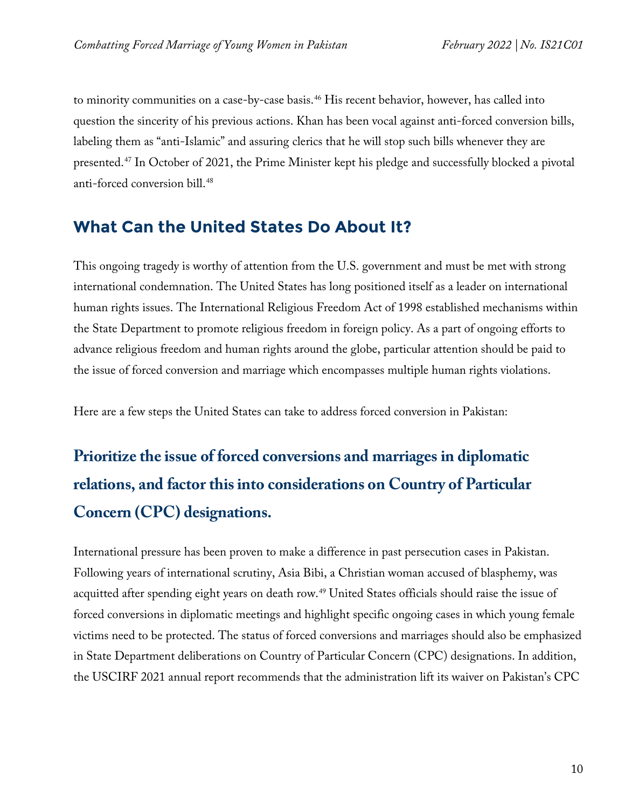to minority communities on a case-by-case basis.<sup>[46](#page-15-9)</sup> His recent behavior, however, has called into question the sincerity of his previous actions. Khan has been vocal against anti-forced conversion bills, labeling them as "anti-Islamic" and assuring clerics that he will stop such bills whenever they are presented.[47](#page-15-10) In October of 2021, the Prime Minister kept his pledge and successfully blocked a pivotal anti-forced conversion bill.<sup>[48](#page-15-11)</sup>

#### **What Can the United States Do About It?**

This ongoing tragedy is worthy of attention from the U.S. government and must be met with strong international condemnation. The United States has long positioned itself as a leader on international human rights issues. The International Religious Freedom Act of 1998 established mechanisms within the State Department to promote religious freedom in foreign policy. As a part of ongoing efforts to advance religious freedom and human rights around the globe, particular attention should be paid to the issue of forced conversion and marriage which encompasses multiple human rights violations.

Here are a few steps the United States can take to address forced conversion in Pakistan:

# **Prioritize the issue of forced conversions and marriages in diplomatic relations, and factor this into considerations on Country of Particular Concern (CPC) designations.**

International pressure has been proven to make a difference in past persecution cases in Pakistan. Following years of international scrutiny, Asia Bibi, a Christian woman accused of blasphemy, was acquitted after spending eight years on death row.<sup>49</sup> United States officials should raise the issue of forced conversions in diplomatic meetings and highlight specific ongoing cases in which young female victims need to be protected. The status of forced conversions and marriages should also be emphasized in State Department deliberations on Country of Particular Concern (CPC) designations. In addition, the USCIRF 2021 annual report recommends that the administration lift its waiver on Pakistan's CPC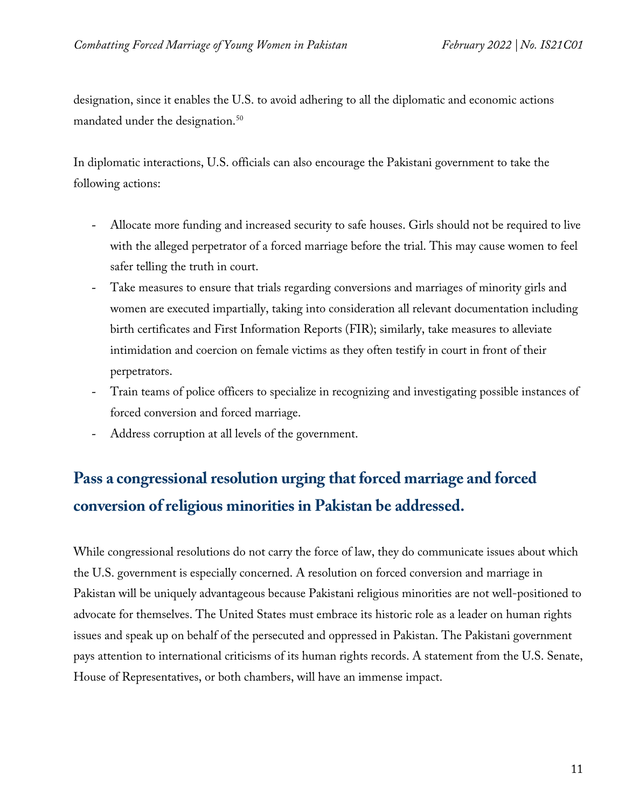designation, since it enables the U.S. to avoid adhering to all the diplomatic and economic actions mandated under the designation.<sup>[50](#page-15-13)</sup>

In diplomatic interactions, U.S. officials can also encourage the Pakistani government to take the following actions:

- Allocate more funding and increased security to safe houses. Girls should not be required to live with the alleged perpetrator of a forced marriage before the trial. This may cause women to feel safer telling the truth in court.
- Take measures to ensure that trials regarding conversions and marriages of minority girls and women are executed impartially, taking into consideration all relevant documentation including birth certificates and First Information Reports (FIR); similarly, take measures to alleviate intimidation and coercion on female victims as they often testify in court in front of their perpetrators.
- Train teams of police officers to specialize in recognizing and investigating possible instances of forced conversion and forced marriage.
- Address corruption at all levels of the government.

## **Pass a congressional resolution urging that forced marriage and forced conversion of religious minorities in Pakistan be addressed.**

While congressional resolutions do not carry the force of law, they do communicate issues about which the U.S. government is especially concerned. A resolution on forced conversion and marriage in Pakistan will be uniquely advantageous because Pakistani religious minorities are not well-positioned to advocate for themselves. The United States must embrace its historic role as a leader on human rights issues and speak up on behalf of the persecuted and oppressed in Pakistan. The Pakistani government pays attention to international criticisms of its human rights records. A statement from the U.S. Senate, House of Representatives, or both chambers, will have an immense impact.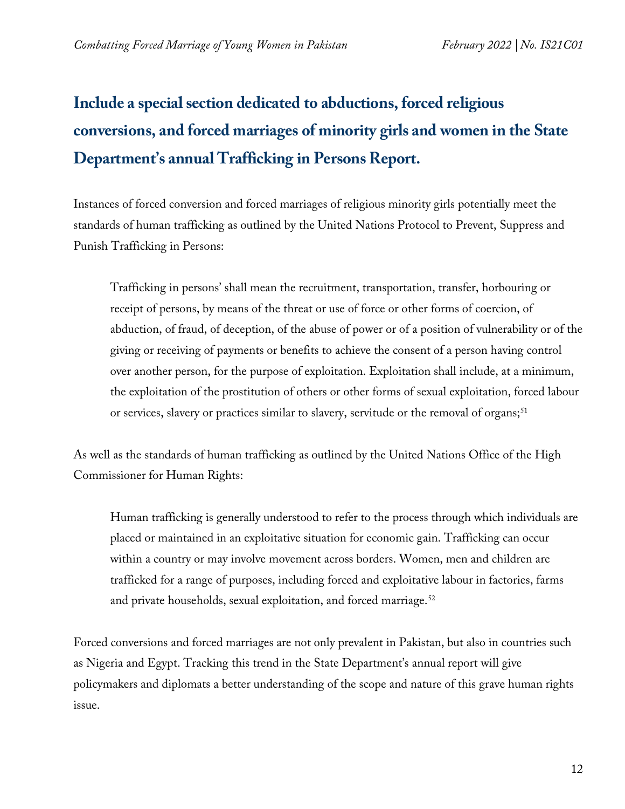# **Include a special section dedicated to abductions, forced religious conversions, and forced marriages of minority girls and women in the State Department's annual Trafficking in Persons Report.**

Instances of forced conversion and forced marriages of religious minority girls potentially meet the standards of human trafficking as outlined by the United Nations Protocol to Prevent, Suppress and Punish Trafficking in Persons:

Trafficking in persons' shall mean the recruitment, transportation, transfer, horbouring or receipt of persons, by means of the threat or use of force or other forms of coercion, of abduction, of fraud, of deception, of the abuse of power or of a position of vulnerability or of the giving or receiving of payments or benefits to achieve the consent of a person having control over another person, for the purpose of exploitation. Exploitation shall include, at a minimum, the exploitation of the prostitution of others or other forms of sexual exploitation, forced labour or services, slavery or practices similar to slavery, servitude or the removal of organs;<sup>[51](#page-15-14)</sup>

As well as the standards of human trafficking as outlined by the United Nations Office of the High Commissioner for Human Rights:

Human trafficking is generally understood to refer to the process through which individuals are placed or maintained in an exploitative situation for economic gain. Trafficking can occur within a country or may involve movement across borders. Women, men and children are trafficked for a range of purposes, including forced and exploitative labour in factories, farms and private households, sexual exploitation, and forced marriage.<sup>[52](#page-16-0)</sup>

Forced conversions and forced marriages are not only prevalent in Pakistan, but also in countries such as Nigeria and Egypt. Tracking this trend in the State Department's annual report will give policymakers and diplomats a better understanding of the scope and nature of this grave human rights issue.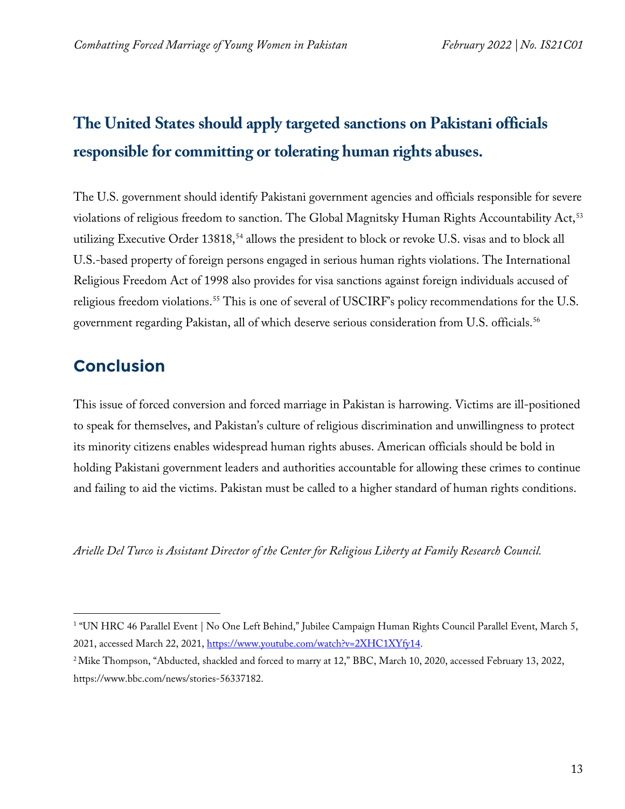# **The United States should apply targeted sanctions on Pakistani officials responsible for committing or tolerating human rights abuses.**

The U.S. government should identify Pakistani government agencies and officials responsible for severe violations of religious freedom to sanction. The Global Magnitsky Human Rights Accountability Act,<sup>[53](#page-16-1)</sup> utilizing Executive Order 13818,<sup>[54](#page-16-2)</sup> allows the president to block or revoke U.S. visas and to block all U.S.-based property of foreign persons engaged in serious human rights violations. The International Religious Freedom Act of 1998 also provides for visa sanctions against foreign individuals accused of religious freedom violations.<sup>[55](#page-16-3)</sup> This is one of several of USCIRF's policy recommendations for the U.S. government regarding Pakistan, all of which deserve serious consideration from U.S. officials.<sup>56</sup>

## **Conclusion**

This issue of forced conversion and forced marriage in Pakistan is harrowing. Victims are ill-positioned to speak for themselves, and Pakistan's culture of religious discrimination and unwillingness to protect its minority citizens enables widespread human rights abuses. American officials should be bold in holding Pakistani government leaders and authorities accountable for allowing these crimes to continue and failing to aid the victims. Pakistan must be called to a higher standard of human rights conditions.

*Arielle Del Turco is Assistant Director of the Center for Religious Liberty at Family Research Council.*

<span id="page-12-0"></span><sup>&</sup>lt;sup>1</sup> "UN HRC 46 Parallel Event | No One Left Behind," Jubilee Campaign Human Rights Council Parallel Event, March 5, 2021, accessed March 22, 2021, [https://www.youtube.com/watch?v=2XHC1XYfy14.](https://www.youtube.com/watch?v=2XHC1XYfy14)

<span id="page-12-1"></span><sup>&</sup>lt;sup>2</sup> Mike Thompson, "Abducted, shackled and forced to marry at 12," BBC, March 10, 2020, accessed February 13, 2022, https://www.bbc.com/news/stories-56337182.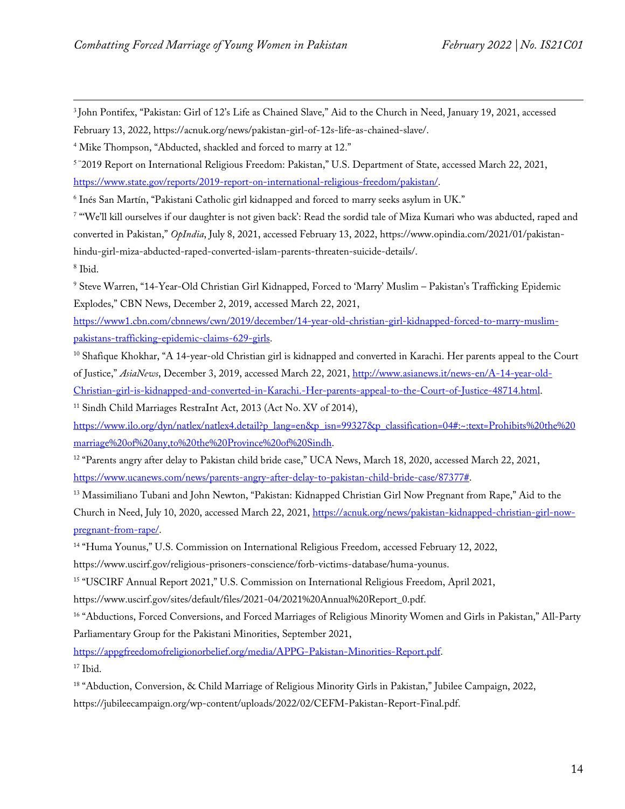<span id="page-13-0"></span><sup>3</sup> John Pontifex, "Pakistan: Girl of 12's Life as Chained Slave," Aid to the Church in Need, January 19, 2021, accessed February 13, 2022, https://acnuk.org/news/pakistan-girl-of-12s-life-as-chained-slave/.

<span id="page-13-1"></span><sup>4</sup> Mike Thompson, "Abducted, shackled and forced to marry at 12."

<span id="page-13-2"></span>5 " 2019 Report on International Religious Freedom: Pakistan," U.S. Department of State, accessed March 22, 2021,

[https://www.state.gov/reports/2019-report-on-international-religious-freedom/pakistan/.](https://www.state.gov/reports/2019-report-on-international-religious-freedom/pakistan/)

<span id="page-13-3"></span><sup>6</sup> Inés San Martín, "Pakistani Catholic girl kidnapped and forced to marry seeks asylum in UK."

<span id="page-13-4"></span><sup>7</sup> "We'll kill ourselves if our daughter is not given back': Read the sordid tale of Miza Kumari who was abducted, raped and converted in Pakistan," *OpIndia*, July 8, 2021, accessed February 13, 2022, https://www.opindia.com/2021/01/pakistanhindu-girl-miza-abducted-raped-converted-islam-parents-threaten-suicide-details/. <sup>8</sup> Ibid.

<span id="page-13-6"></span><span id="page-13-5"></span><sup>9</sup> Steve Warren, "14-Year-Old Christian Girl Kidnapped, Forced to 'Marry' Muslim – Pakistan's Trafficking Epidemic Explodes," CBN News, December 2, 2019, accessed March 22, 2021,

[https://www1.cbn.com/cbnnews/cwn/2019/december/14-year-old-christian-girl-kidnapped-forced-to-marry-muslim](https://www1.cbn.com/cbnnews/cwn/2019/december/14-year-old-christian-girl-kidnapped-forced-to-marry-muslim-pakistans-trafficking-epidemic-claims-629-girls)[pakistans-trafficking-epidemic-claims-629-girls.](https://www1.cbn.com/cbnnews/cwn/2019/december/14-year-old-christian-girl-kidnapped-forced-to-marry-muslim-pakistans-trafficking-epidemic-claims-629-girls)

<span id="page-13-7"></span> $10$  Shafique Khokhar, "A 14-year-old Christian girl is kidnapped and converted in Karachi. Her parents appeal to the Court of Justice," *AsiaNews*, December 3, 2019, accessed March 22, 2021, [http://www.asianews.it/news-en/A-14-year-old-](http://www.asianews.it/news-en/A-14-year-old-Christian-girl-is-kidnapped-and-converted-in-Karachi.-Her-parents-appeal-to-the-Court-of-Justice-48714.html)[Christian-girl-is-kidnapped-and-converted-in-Karachi.-Her-parents-appeal-to-the-Court-of-Justice-48714.html.](http://www.asianews.it/news-en/A-14-year-old-Christian-girl-is-kidnapped-and-converted-in-Karachi.-Her-parents-appeal-to-the-Court-of-Justice-48714.html)

<span id="page-13-8"></span><sup>11</sup> Sindh Child Marriages RestraInt Act, 2013 (Act No. XV of 2014),

[https://www.ilo.org/dyn/natlex/natlex4.detail?p\\_lang=en&p\\_isn=99327&p\\_classification=04#:~:text=Prohibits%20the%20](https://www.ilo.org/dyn/natlex/natlex4.detail?p_lang=en&p_isn=99327&p_classification=04#:%7E:text=Prohibits%20the%20marriage%20of%20any,to%20the%20Province%20of%20Sindh) [marriage%20of%20any,to%20the%20Province%20of%20Sindh.](https://www.ilo.org/dyn/natlex/natlex4.detail?p_lang=en&p_isn=99327&p_classification=04#:%7E:text=Prohibits%20the%20marriage%20of%20any,to%20the%20Province%20of%20Sindh)

<span id="page-13-9"></span><sup>12</sup> "Parents angry after delay to Pakistan child bride case," UCA News, March 18, 2020, accessed March 22, 2021, [https://www.ucanews.com/news/parents-angry-after-delay-to-pakistan-child-bride-case/87377#.](https://www.ucanews.com/news/parents-angry-after-delay-to-pakistan-child-bride-case/87377)

<span id="page-13-10"></span><sup>13</sup> Massimiliano Tubani and John Newton, "Pakistan: Kidnapped Christian Girl Now Pregnant from Rape," Aid to the Church in Need, July 10, 2020, accessed March 22, 2021, [https://acnuk.org/news/pakistan-kidnapped-christian-girl-now](https://acnuk.org/news/pakistan-kidnapped-christian-girl-now-pregnant-from-rape/)[pregnant-from-rape/.](https://acnuk.org/news/pakistan-kidnapped-christian-girl-now-pregnant-from-rape/)

<span id="page-13-11"></span><sup>14</sup> "Huma Younus," U.S. Commission on International Religious Freedom, accessed February 12, 2022,

https://www.uscirf.gov/religious-prisoners-conscience/forb-victims-database/huma-younus.

<span id="page-13-12"></span><sup>15</sup> "USCIRF Annual Report 2021," U.S. Commission on International Religious Freedom, April 2021,

[https://www.uscirf.gov/sites/default/files/2021-04/2021%20Annual%20Report\\_0.pdf.](https://www.uscirf.gov/sites/default/files/2021-04/2021%20Annual%20Report_0.pdf)

<span id="page-13-13"></span><sup>16</sup> "Abductions, Forced Conversions, and Forced Marriages of Religious Minority Women and Girls in Pakistan," All-Party Parliamentary Group for the Pakistani Minorities, September 2021,

<span id="page-13-14"></span>[https://appgfreedomofreligionorbelief.org/media/APPG-Pakistan-Minorities-Report.pdf.](https://appgfreedomofreligionorbelief.org/media/APPG-Pakistan-Minorities-Report.pdf) <sup>17</sup> Ibid.

<span id="page-13-15"></span><sup>18</sup> "Abduction, Conversion, & Child Marriage of Religious Minority Girls in Pakistan," Jubilee Campaign, 2022, https://jubileecampaign.org/wp-content/uploads/2022/02/CEFM-Pakistan-Report-Final.pdf.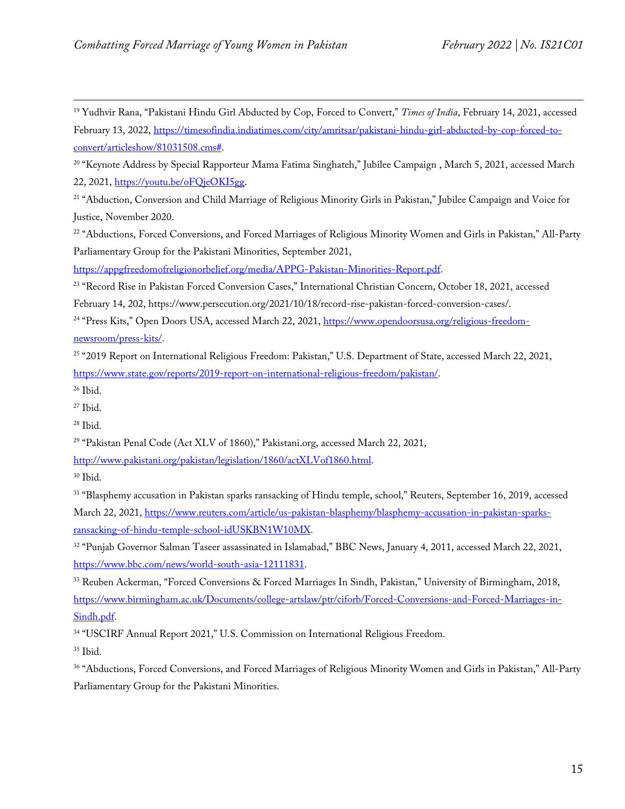<span id="page-14-0"></span><sup>19</sup> Yudhvir Rana, "Pakistani Hindu Girl Abducted by Cop, Forced to Convert," *Times of India*, February 14, 2021, accessed February 13, 2022, [https://timesofindia.indiatimes.com/city/amritsar/pakistani-hindu-girl-abducted-by-cop-forced-to](https://timesofindia.indiatimes.com/city/amritsar/pakistani-hindu-girl-abducted-by-cop-forced-to-convert/articleshow/81031508.cms)[convert/articleshow/81031508.cms#.](https://timesofindia.indiatimes.com/city/amritsar/pakistani-hindu-girl-abducted-by-cop-forced-to-convert/articleshow/81031508.cms)

<span id="page-14-1"></span><sup>20</sup> "Keynote Address by Special Rapporteur Mama Fatima Singhateh," Jubilee Campaign , March 5, 2021, accessed March 22, 2021, [https://youtu.be/oFQjeOKI5gg.](https://youtu.be/oFQjeOKI5gg)

<span id="page-14-2"></span><sup>21</sup> "Abduction, Conversion and Child Marriage of Religious Minority Girls in Pakistan," Jubilee Campaign and Voice for Justice, November 2020.

<span id="page-14-3"></span><sup>22</sup> "Abductions, Forced Conversions, and Forced Marriages of Religious Minority Women and Girls in Pakistan," All-Party Parliamentary Group for the Pakistani Minorities, September 2021,

[https://appgfreedomofreligionorbelief.org/media/APPG-Pakistan-Minorities-Report.pdf.](https://appgfreedomofreligionorbelief.org/media/APPG-Pakistan-Minorities-Report.pdf)

<span id="page-14-4"></span><sup>23</sup> "Record Rise in Pakistan Forced Conversion Cases," International Christian Concern, October 18, 2021, accessed February 14, 202, https://www.persecution.org/2021/10/18/record-rise-pakistan-forced-conversion-cases/.

<span id="page-14-5"></span><sup>24</sup> "Press Kits," Open Doors USA, accessed March 22, 2021, [https://www.opendoorsusa.org/religious-freedom](https://www.opendoorsusa.org/religious-freedom-newsroom/press-kits/)[newsroom/press-kits/.](https://www.opendoorsusa.org/religious-freedom-newsroom/press-kits/)

<span id="page-14-6"></span><sup>25</sup> "2019 Report on International Religious Freedom: Pakistan," U.S. Department of State, accessed March 22, 2021, [https://www.state.gov/reports/2019-report-on-international-religious-freedom/pakistan/.](https://www.state.gov/reports/2019-report-on-international-religious-freedom/pakistan/)

<span id="page-14-7"></span><sup>26</sup> Ibid.

<span id="page-14-8"></span><sup>27</sup> Ibid.

<span id="page-14-9"></span><sup>28</sup> Ibid.

<span id="page-14-10"></span><sup>29</sup> "Pakistan Penal Code (Act XLV of 1860)," Pakistani.org, accessed March 22, 2021,

[http://www.pakistani.org/pakistan/legislation/1860/actXLVof1860.html.](http://www.pakistani.org/pakistan/legislation/1860/actXLVof1860.html)

<span id="page-14-11"></span><sup>30</sup> Ibid.

<span id="page-14-12"></span><sup>31</sup> "Blasphemy accusation in Pakistan sparks ransacking of Hindu temple, school," Reuters, September 16, 2019, accessed March 22, 2021[, https://www.reuters.com/article/us-pakistan-blasphemy/blasphemy-accusation-in-pakistan-sparks](https://www.reuters.com/article/us-pakistan-blasphemy/blasphemy-accusation-in-pakistan-sparks-ransacking-of-hindu-temple-school-idUSKBN1W10MX)[ransacking-of-hindu-temple-school-idUSKBN1W10MX.](https://www.reuters.com/article/us-pakistan-blasphemy/blasphemy-accusation-in-pakistan-sparks-ransacking-of-hindu-temple-school-idUSKBN1W10MX) 

<span id="page-14-13"></span><sup>32</sup> "Punjab Governor Salman Taseer assassinated in Islamabad," BBC News, January 4, 2011, accessed March 22, 2021, [https://www.bbc.com/news/world-south-asia-12111831.](https://www.bbc.com/news/world-south-asia-12111831)

<span id="page-14-14"></span><sup>33</sup> Reuben Ackerman, "Forced Conversions & Forced Marriages In Sindh, Pakistan," University of Birmingham, 2018, [https://www.birmingham.ac.uk/Documents/college-artslaw/ptr/ciforb/Forced-Conversions-and-Forced-Marriages-in-](https://www.birmingham.ac.uk/Documents/college-artslaw/ptr/ciforb/Forced-Conversions-and-Forced-Marriages-in-Sindh.pdf)[Sindh.pdf.](https://www.birmingham.ac.uk/Documents/college-artslaw/ptr/ciforb/Forced-Conversions-and-Forced-Marriages-in-Sindh.pdf)

<span id="page-14-15"></span><sup>34</sup> "USCIRF Annual Report 2021," U.S. Commission on International Religious Freedom.

<span id="page-14-16"></span><sup>35</sup> Ibid.

<span id="page-14-17"></span><sup>36</sup> "Abductions, Forced Conversions, and Forced Marriages of Religious Minority Women and Girls in Pakistan," All-Party Parliamentary Group for the Pakistani Minorities.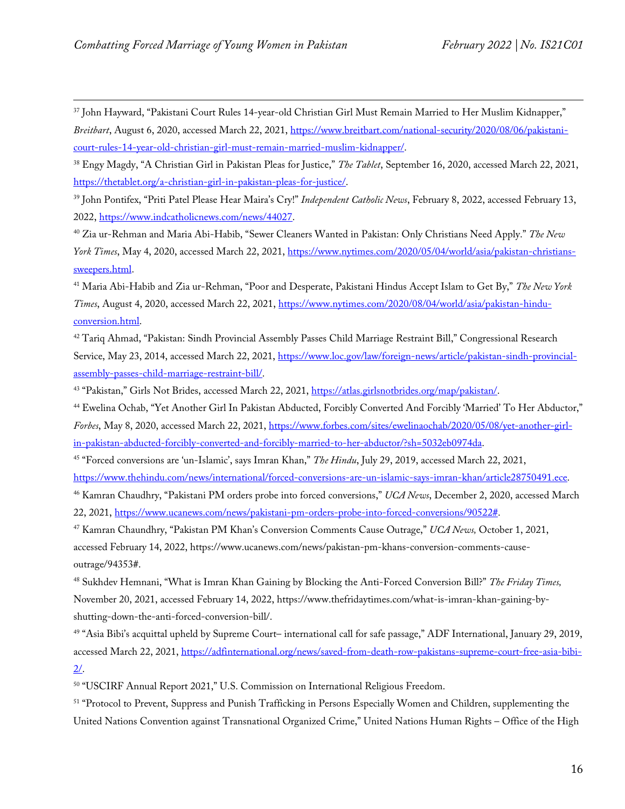<span id="page-15-0"></span><sup>37</sup> John Hayward, "Pakistani Court Rules 14-year-old Christian Girl Must Remain Married to Her Muslim Kidnapper," *Breitbart*, August 6, 2020, accessed March 22, 2021[, https://www.breitbart.com/national-security/2020/08/06/pakistani](https://www.breitbart.com/national-security/2020/08/06/pakistani-court-rules-14-year-old-christian-girl-must-remain-married-muslim-kidnapper/)[court-rules-14-year-old-christian-girl-must-remain-married-muslim-kidnapper/.](https://www.breitbart.com/national-security/2020/08/06/pakistani-court-rules-14-year-old-christian-girl-must-remain-married-muslim-kidnapper/)

<span id="page-15-1"></span><sup>38</sup> Engy Magdy, "A Christian Girl in Pakistan Pleas for Justice," *The Tablet*, September 16, 2020, accessed March 22, 2021, [https://thetablet.org/a-christian-girl-in-pakistan-pleas-for-justice/.](https://thetablet.org/a-christian-girl-in-pakistan-pleas-for-justice/)

<span id="page-15-2"></span><sup>39</sup> John Pontifex, "Priti Patel Please Hear Maira's Cry!" *Independent Catholic News*, February 8, 2022, accessed February 13, 2022, [https://www.indcatholicnews.com/news/44027.](https://www.indcatholicnews.com/news/44027) 

<span id="page-15-3"></span><sup>40</sup> Zia ur-Rehman and Maria Abi-Habib, "Sewer Cleaners Wanted in Pakistan: Only Christians Need Apply." *The New York Times*, May 4, 2020, accessed March 22, 2021[, https://www.nytimes.com/2020/05/04/world/asia/pakistan-christians](https://www.nytimes.com/2020/05/04/world/asia/pakistan-christians-sweepers.html)[sweepers.html.](https://www.nytimes.com/2020/05/04/world/asia/pakistan-christians-sweepers.html)

<span id="page-15-4"></span><sup>41</sup> Maria Abi-Habib and Zia ur-Rehman, "Poor and Desperate, Pakistani Hindus Accept Islam to Get By," *The New York Times*, August 4, 2020, accessed March 22, 2021[, https://www.nytimes.com/2020/08/04/world/asia/pakistan-hindu](https://www.nytimes.com/2020/08/04/world/asia/pakistan-hindu-conversion.html)[conversion.html.](https://www.nytimes.com/2020/08/04/world/asia/pakistan-hindu-conversion.html)

<span id="page-15-5"></span><sup>42</sup> Tariq Ahmad, "Pakistan: Sindh Provincial Assembly Passes Child Marriage Restraint Bill," Congressional Research Service, May 23, 2014, accessed March 22, 2021, [https://www.loc.gov/law/foreign-news/article/pakistan-sindh-provincial](https://www.loc.gov/law/foreign-news/article/pakistan-sindh-provincial-assembly-passes-child-marriage-restraint-bill/)[assembly-passes-child-marriage-restraint-bill/.](https://www.loc.gov/law/foreign-news/article/pakistan-sindh-provincial-assembly-passes-child-marriage-restraint-bill/)

<span id="page-15-6"></span><sup>43</sup> "Pakistan," Girls Not Brides, accessed March 22, 2021, [https://atlas.girlsnotbrides.org/map/pakistan/.](https://atlas.girlsnotbrides.org/map/pakistan/)

<span id="page-15-7"></span><sup>44</sup> Ewelina Ochab, "Yet Another Girl In Pakistan Abducted, Forcibly Converted And Forcibly 'Married' To Her Abductor," *Forbes*, May 8, 2020, accessed March 22, 2021, [https://www.forbes.com/sites/ewelinaochab/2020/05/08/yet-another-girl](https://www.forbes.com/sites/ewelinaochab/2020/05/08/yet-another-girl-in-pakistan-abducted-forcibly-converted-and-forcibly-married-to-her-abductor/?sh=5032eb0974da)[in-pakistan-abducted-forcibly-converted-and-forcibly-married-to-her-abductor/?sh=5032eb0974da.](https://www.forbes.com/sites/ewelinaochab/2020/05/08/yet-another-girl-in-pakistan-abducted-forcibly-converted-and-forcibly-married-to-her-abductor/?sh=5032eb0974da)

<span id="page-15-8"></span><sup>45</sup> "Forced conversions are 'un-Islamic', says Imran Khan," *The Hindu*, July 29, 2019, accessed March 22, 2021,

[https://www.thehindu.com/news/international/forced-conversions-are-un-islamic-says-imran-khan/article28750491.ece.](https://www.thehindu.com/news/international/forced-conversions-are-un-islamic-says-imran-khan/article28750491.ece)

<span id="page-15-9"></span><sup>46</sup> Kamran Chaudhry, "Pakistani PM orders probe into forced conversions," *UCA News*, December 2, 2020, accessed March 22, 2021, [https://www.ucanews.com/news/pakistani-pm-orders-probe-into-forced-conversions/90522#.](https://www.ucanews.com/news/pakistani-pm-orders-probe-into-forced-conversions/90522)

<span id="page-15-10"></span><sup>47</sup> Kamran Chaundhry, "Pakistan PM Khan's Conversion Comments Cause Outrage," *UCA News,* October 1, 2021, accessed February 14, 2022, https://www.ucanews.com/news/pakistan-pm-khans-conversion-comments-causeoutrage/94353#.

<span id="page-15-11"></span><sup>48</sup> Sukhdev Hemnani, "What is Imran Khan Gaining by Blocking the Anti-Forced Conversion Bill?" *The Friday Times,*  November 20, 2021, accessed February 14, 2022, https://www.thefridaytimes.com/what-is-imran-khan-gaining-byshutting-down-the-anti-forced-conversion-bill/.

<span id="page-15-12"></span><sup>49</sup> "Asia Bibi's acquittal upheld by Supreme Court– international call for safe passage," ADF International, January 29, 2019, accessed March 22, 2021[, https://adfinternational.org/news/saved-from-death-row-pakistans-supreme-court-free-asia-bibi-](https://adfinternational.org/news/saved-from-death-row-pakistans-supreme-court-free-asia-bibi-2/)[2/.](https://adfinternational.org/news/saved-from-death-row-pakistans-supreme-court-free-asia-bibi-2/)

<span id="page-15-13"></span><sup>50</sup> "USCIRF Annual Report 2021," U.S. Commission on International Religious Freedom.

<span id="page-15-14"></span><sup>51</sup> "Protocol to Prevent, Suppress and Punish Trafficking in Persons Especially Women and Children, supplementing the United Nations Convention against Transnational Organized Crime," United Nations Human Rights – Office of the High